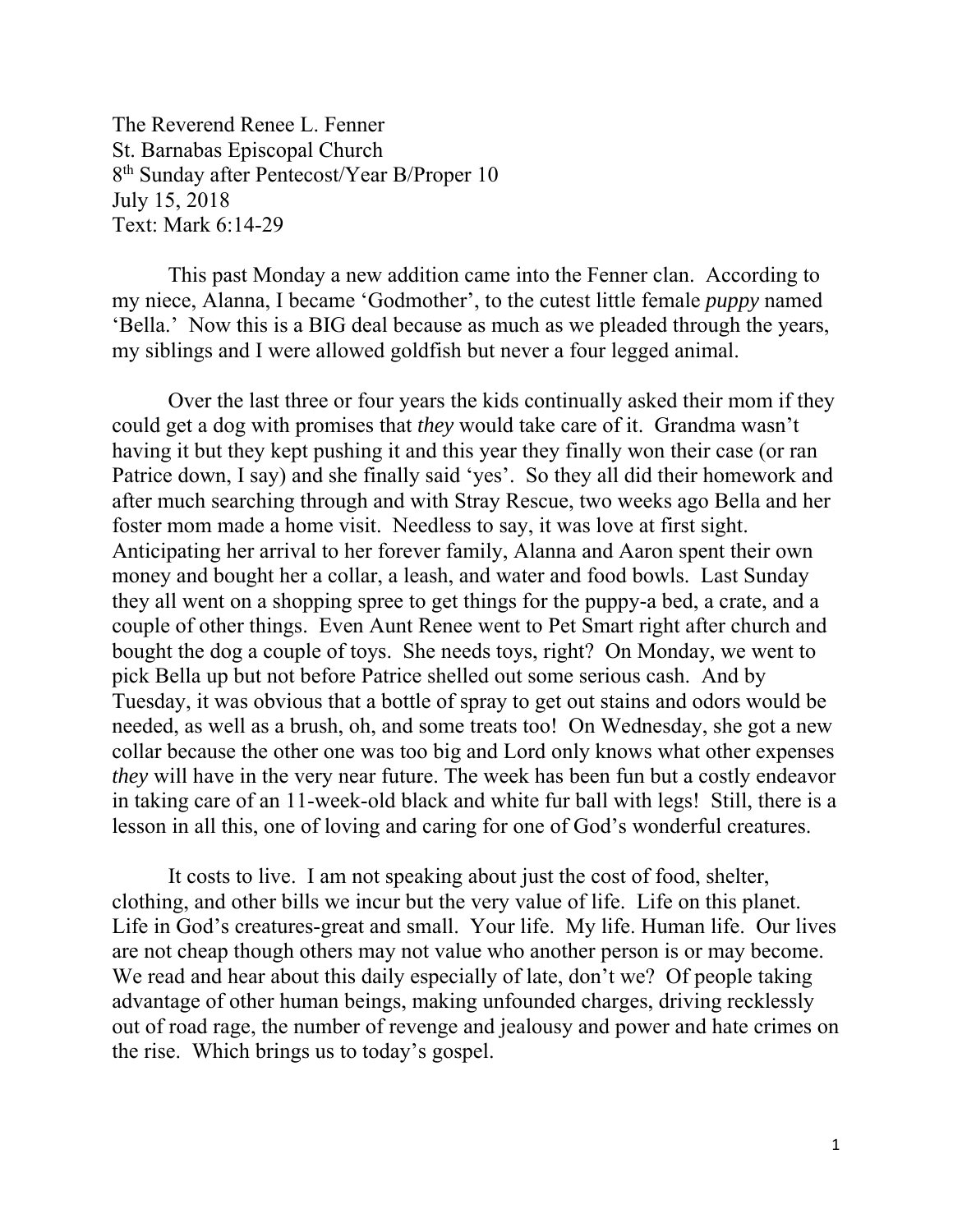The Reverend Renee L. Fenner St. Barnabas Episcopal Church 8<sup>th</sup> Sunday after Pentecost/Year B/Proper 10 July 15, 2018 Text: Mark 6:14-29

 This past Monday a new addition came into the Fenner clan. According to my niece, Alanna, I became 'Godmother', to the cutest little female *puppy* named 'Bella.' Now this is a BIG deal because as much as we pleaded through the years, my siblings and I were allowed goldfish but never a four legged animal.

Over the last three or four years the kids continually asked their mom if they could get a dog with promises that *they* would take care of it. Grandma wasn't having it but they kept pushing it and this year they finally won their case (or ran Patrice down, I say) and she finally said 'yes'. So they all did their homework and after much searching through and with Stray Rescue, two weeks ago Bella and her foster mom made a home visit. Needless to say, it was love at first sight. Anticipating her arrival to her forever family, Alanna and Aaron spent their own money and bought her a collar, a leash, and water and food bowls. Last Sunday they all went on a shopping spree to get things for the puppy-a bed, a crate, and a couple of other things. Even Aunt Renee went to Pet Smart right after church and bought the dog a couple of toys. She needs toys, right? On Monday, we went to pick Bella up but not before Patrice shelled out some serious cash. And by Tuesday, it was obvious that a bottle of spray to get out stains and odors would be needed, as well as a brush, oh, and some treats too! On Wednesday, she got a new collar because the other one was too big and Lord only knows what other expenses *they* will have in the very near future. The week has been fun but a costly endeavor in taking care of an 11-week-old black and white fur ball with legs! Still, there is a lesson in all this, one of loving and caring for one of God's wonderful creatures.

It costs to live. I am not speaking about just the cost of food, shelter, clothing, and other bills we incur but the very value of life. Life on this planet. Life in God's creatures-great and small. Your life. My life. Human life. Our lives are not cheap though others may not value who another person is or may become. We read and hear about this daily especially of late, don't we? Of people taking advantage of other human beings, making unfounded charges, driving recklessly out of road rage, the number of revenge and jealousy and power and hate crimes on the rise. Which brings us to today's gospel.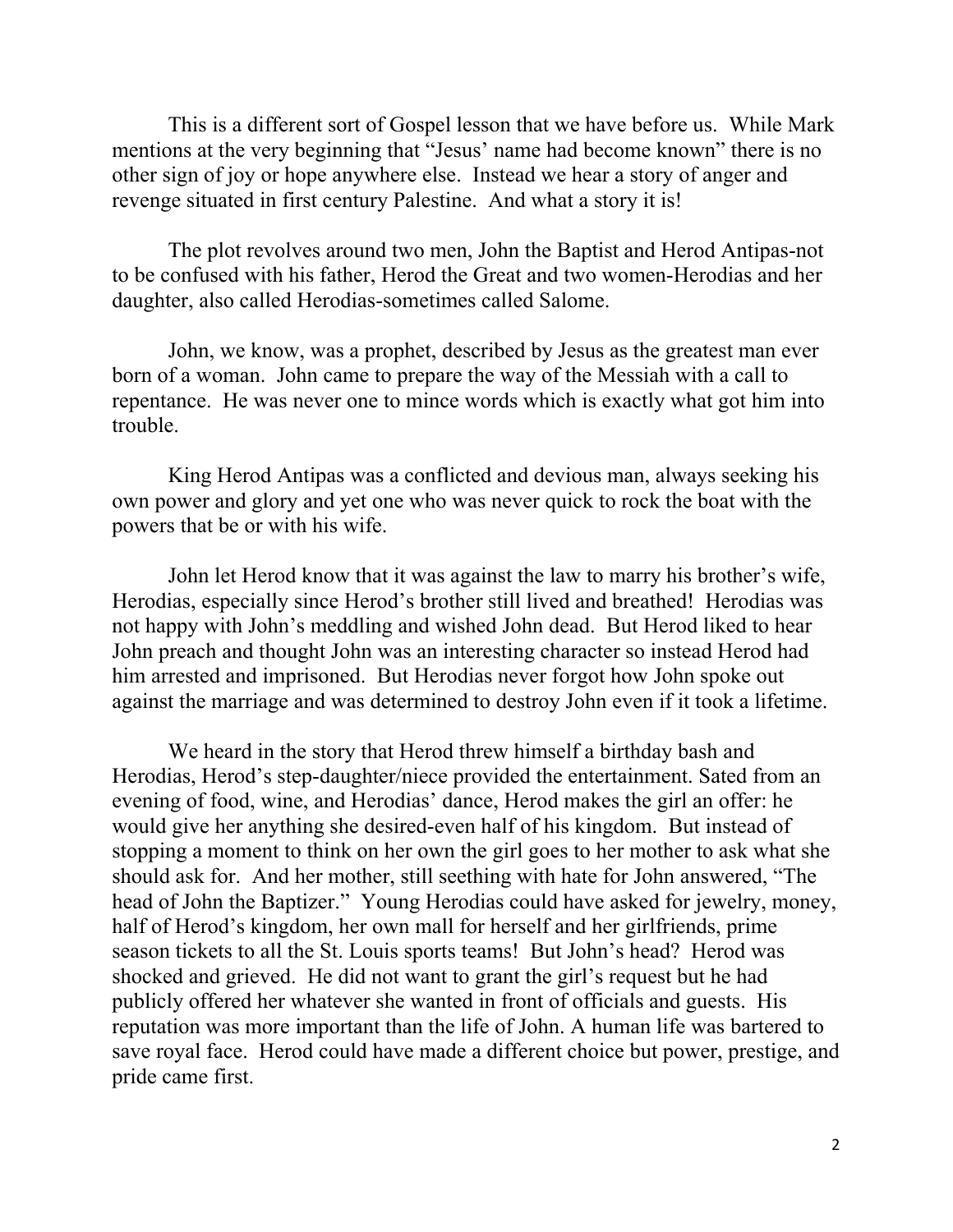This is a different sort of Gospel lesson that we have before us. While Mark mentions at the very beginning that "Jesus' name had become known" there is no other sign of joy or hope anywhere else. Instead we hear a story of anger and revenge situated in first century Palestine. And what a story it is!

The plot revolves around two men, John the Baptist and Herod Antipas-not to be confused with his father, Herod the Great and two women-Herodias and her daughter, also called Herodias-sometimes called Salome.

John, we know, was a prophet, described by Jesus as the greatest man ever born of a woman. John came to prepare the way of the Messiah with a call to repentance. He was never one to mince words which is exactly what got him into trouble.

King Herod Antipas was a conflicted and devious man, always seeking his own power and glory and yet one who was never quick to rock the boat with the powers that be or with his wife.

John let Herod know that it was against the law to marry his brother's wife, Herodias, especially since Herod's brother still lived and breathed! Herodias was not happy with John's meddling and wished John dead. But Herod liked to hear John preach and thought John was an interesting character so instead Herod had him arrested and imprisoned. But Herodias never forgot how John spoke out against the marriage and was determined to destroy John even if it took a lifetime.

We heard in the story that Herod threw himself a birthday bash and Herodias, Herod's step-daughter/niece provided the entertainment. Sated from an evening of food, wine, and Herodias' dance, Herod makes the girl an offer: he would give her anything she desired-even half of his kingdom. But instead of stopping a moment to think on her own the girl goes to her mother to ask what she should ask for. And her mother, still seething with hate for John answered, "The head of John the Baptizer." Young Herodias could have asked for jewelry, money, half of Herod's kingdom, her own mall for herself and her girlfriends, prime season tickets to all the St. Louis sports teams! But John's head? Herod was shocked and grieved. He did not want to grant the girl's request but he had publicly offered her whatever she wanted in front of officials and guests. His reputation was more important than the life of John. A human life was bartered to save royal face. Herod could have made a different choice but power, prestige, and pride came first.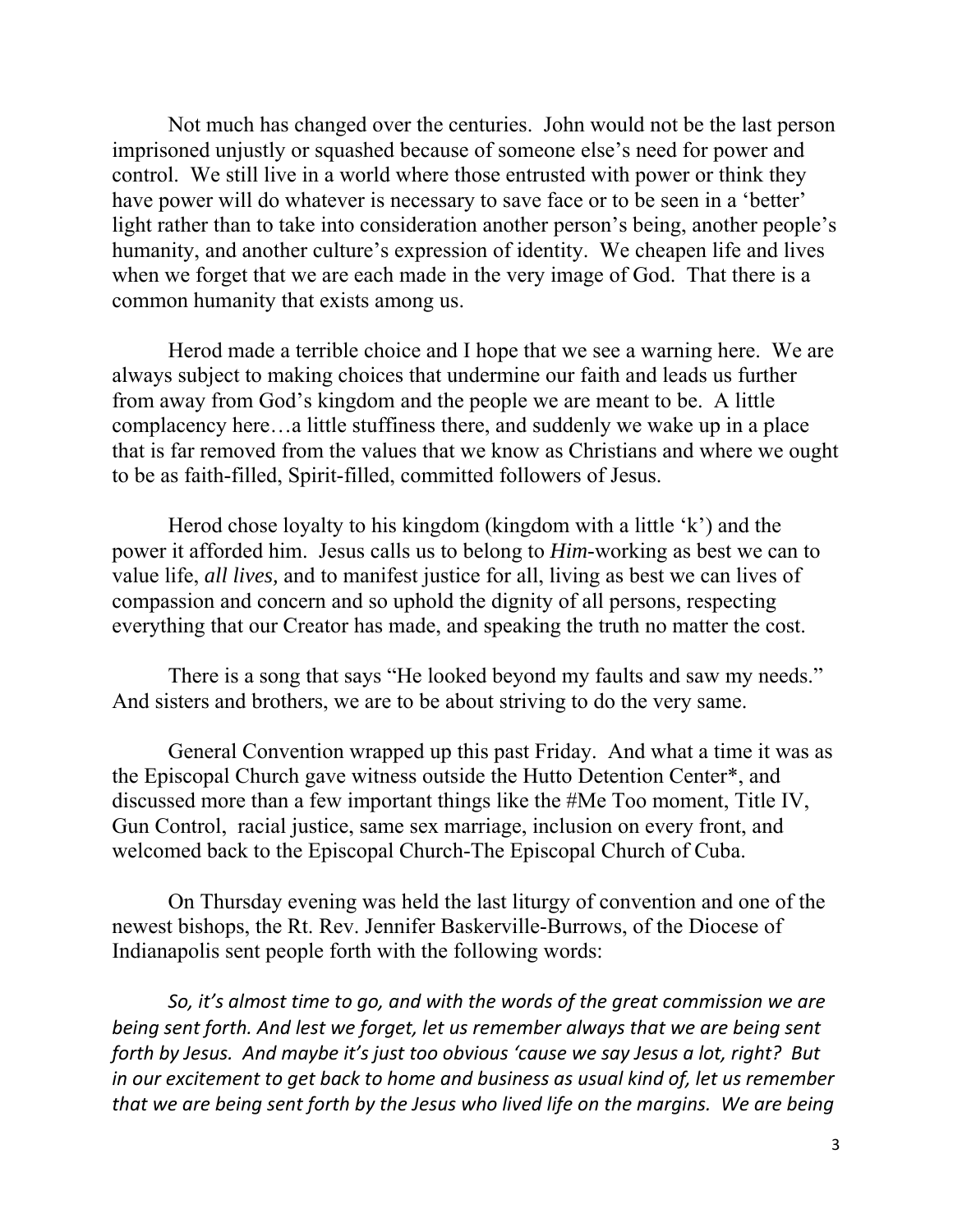Not much has changed over the centuries. John would not be the last person imprisoned unjustly or squashed because of someone else's need for power and control. We still live in a world where those entrusted with power or think they have power will do whatever is necessary to save face or to be seen in a 'better' light rather than to take into consideration another person's being, another people's humanity, and another culture's expression of identity. We cheapen life and lives when we forget that we are each made in the very image of God. That there is a common humanity that exists among us.

Herod made a terrible choice and I hope that we see a warning here. We are always subject to making choices that undermine our faith and leads us further from away from God's kingdom and the people we are meant to be. A little complacency here…a little stuffiness there, and suddenly we wake up in a place that is far removed from the values that we know as Christians and where we ought to be as faith-filled, Spirit-filled, committed followers of Jesus.

Herod chose loyalty to his kingdom (kingdom with a little 'k') and the power it afforded him. Jesus calls us to belong to *Him*-working as best we can to value life, *all lives,* and to manifest justice for all, living as best we can lives of compassion and concern and so uphold the dignity of all persons, respecting everything that our Creator has made, and speaking the truth no matter the cost.

There is a song that says "He looked beyond my faults and saw my needs." And sisters and brothers, we are to be about striving to do the very same.

General Convention wrapped up this past Friday. And what a time it was as the Episcopal Church gave witness outside the Hutto Detention Center\*, and discussed more than a few important things like the #Me Too moment, Title IV, Gun Control, racial justice, same sex marriage, inclusion on every front, and welcomed back to the Episcopal Church-The Episcopal Church of Cuba.

On Thursday evening was held the last liturgy of convention and one of the newest bishops, the Rt. Rev. Jennifer Baskerville-Burrows, of the Diocese of Indianapolis sent people forth with the following words:

*So, it's almost time to go, and with the words of the great commission we are being sent forth. And lest we forget, let us remember always that we are being sent forth by Jesus. And maybe it's just too obvious 'cause we say Jesus a lot, right? But in our excitement to get back to home and business as usual kind of, let us remember that we are being sent forth by the Jesus who lived life on the margins. We are being*